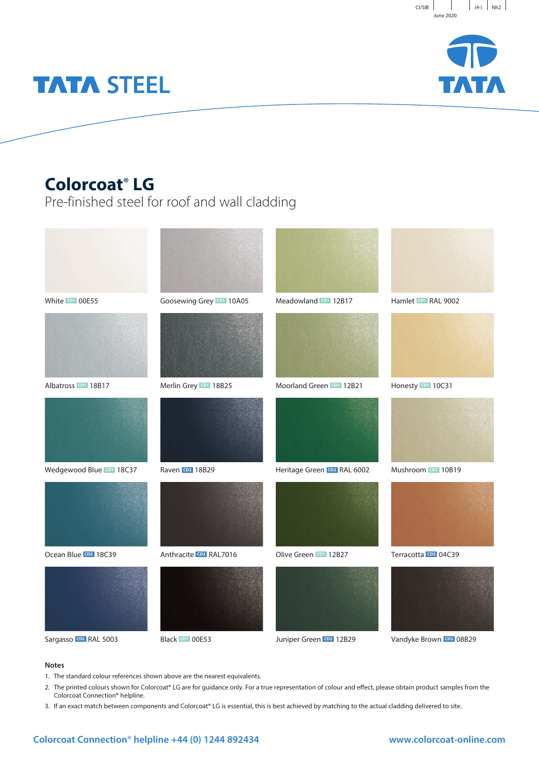



# **TATA STEEL**

### **Colorcoat**® **LG**

Pre-finished steel for roof and wall cladding



#### **Notes**

- 1. The standard colour references shown above are the nearest equivalents.
- 2. The printed colours shown for Colorcoat® LG are for guidance only. For a true representation of colour and effect, please obtain product samples from the Colorcoat Connection® helpline.
- 3. If an exact match between components and Colorcoat® LG is essential, this is best achieved by matching to the actual cladding delivered to site.